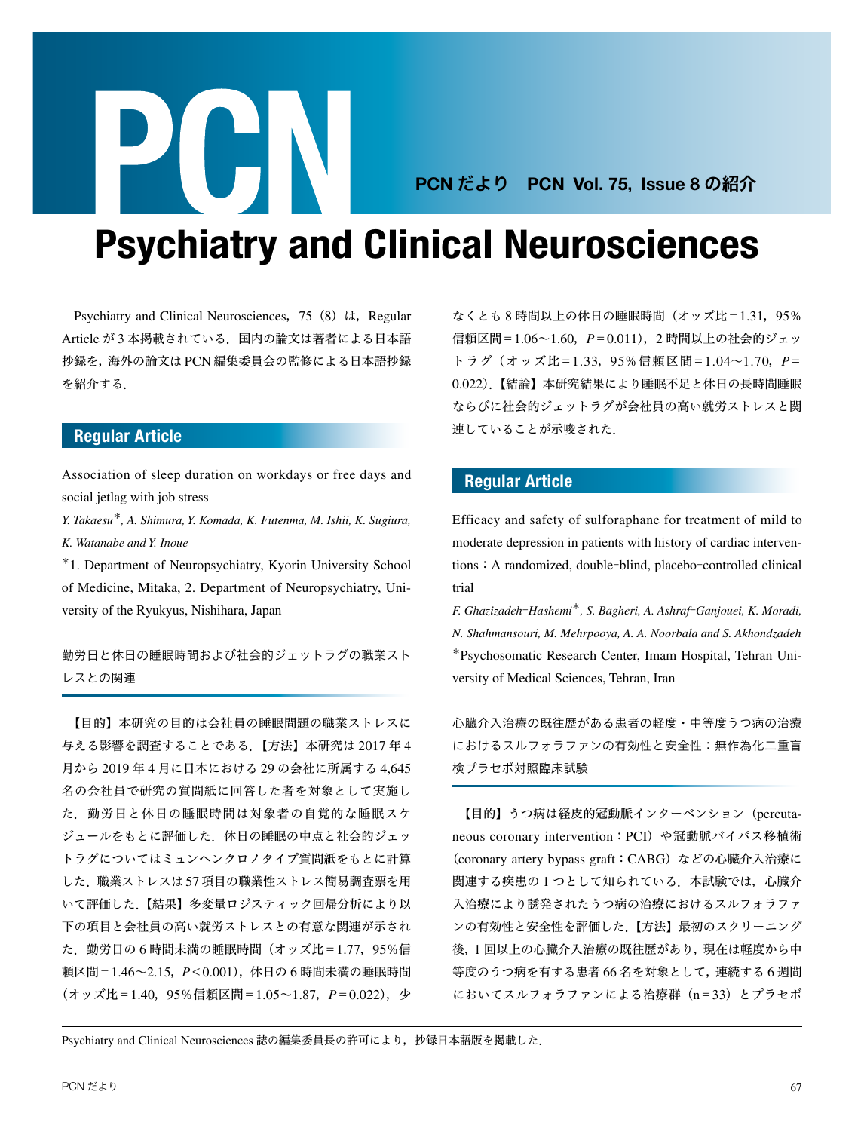## PCN だより PCN Vol. 75, Issue 8 の紹介

# Psychiatry and Clinical Neurosciences

Psychiatry and Clinical Neurosciences,75(8)は,Regular Article が 3 本掲載されている.国内の論文は著者による日本語 抄録を,海外の論文は PCN 編集委員会の監修による日本語抄録 を紹介する.

**PURT** 

### Regular Article

Association of sleep duration on workdays or free days and social jetlag with job stress

*Y. Takaesu*\**, A. Shimura, Y. Komada, K. Futenma, M. Ishii, K. Sugiura, K. Watanabe and Y. Inoue*

\*1. Department of Neuropsychiatry, Kyorin University School of Medicine, Mitaka, 2. Department of Neuropsychiatry, University of the Ryukyus, Nishihara, Japan

勤労日と休日の睡眠時間および社会的ジェットラグの職業スト レスとの関連

 【目的】本研究の目的は会社員の睡眠問題の職業ストレスに 与える影響を調査することである.【方法】本研究は 2017 年 4 月から 2019 年 4 月に日本における 29 の会社に所属する 4,645 名の会社員で研究の質問紙に回答した者を対象として実施し た.勤労日と休日の睡眠時間は対象者の自覚的な睡眠スケ ジュールをもとに評価した.休日の睡眠の中点と社会的ジェッ トラグについてはミュンヘンクロノタイプ質問紙をもとに計算 した.職業ストレスは 57 項目の職業性ストレス簡易調査票を用 いて評価した.【結果】多変量ロジスティック回帰分析により以 下の項目と会社員の高い就労ストレスとの有意な関連が示され た.勤労日の 6 時間未満の睡眠時間(オッズ比=1.77,95%信 頼区間=1.46~2.15,*P*<0.001),休日の 6 時間未満の睡眠時間 (オッズ比=1.40,95%信頼区間=1.05~1.87,*P*=0.022),少 なくとも 8 時間以上の休日の睡眠時間(オッズ比=1.31,95% 信頼区間=1.06~1.60,*P*=0.011),2 時間以上の社会的ジェッ トラグ(オッズ比=1.33,95%信頼区間=1.04~1.70,*P*= 0.022).【結論】本研究結果により睡眠不足と休日の長時間睡眠 ならびに社会的ジェットラグが会社員の高い就労ストレスと関 連していることが示唆された.

### Regular Article

Efficacy and safety of sulforaphane for treatment of mild to moderate depression in patients with history of cardiac interventions: A randomized, double-blind, placebo-controlled clinical trial

*F. Ghazizadeh*‒*Hashemi*\**, S. Bagheri, A. Ashraf*‒*Ganjouei, K. Moradi, N. Shahmansouri, M. Mehrpooya, A. A. Noorbala and S. Akhondzadeh* \*Psychosomatic Research Center, Imam Hospital, Tehran University of Medical Sciences, Tehran, Iran

心臓介入治療の既往歴がある患者の軽度・中等度うつ病の治療 におけるスルフォラファンの有効性と安全性:無作為化二重盲 検プラセボ対照臨床試験

 【目的】うつ病は経皮的冠動脈インターベンション(percutaneous coronary intervention: PCI) や冠動脈バイパス移植術 (coronary artery bypass graft:CABG)などの心臓介入治療に 関連する疾患の1つとして知られている. 本試験では、心臓介 入治療により誘発されたうつ病の治療におけるスルフォラファ ンの有効性と安全性を評価した.【方法】最初のスクリーニング 後,1 回以上の心臓介入治療の既往歴があり,現在は軽度から中 等度のうつ病を有する患者 66 名を対象として,連続する 6 週間 においてスルフォラファンによる治療群 (n=33) とプラセボ

Psychiatry and Clinical Neurosciences 誌の編集委員長の許可により,抄録日本語版を掲載した.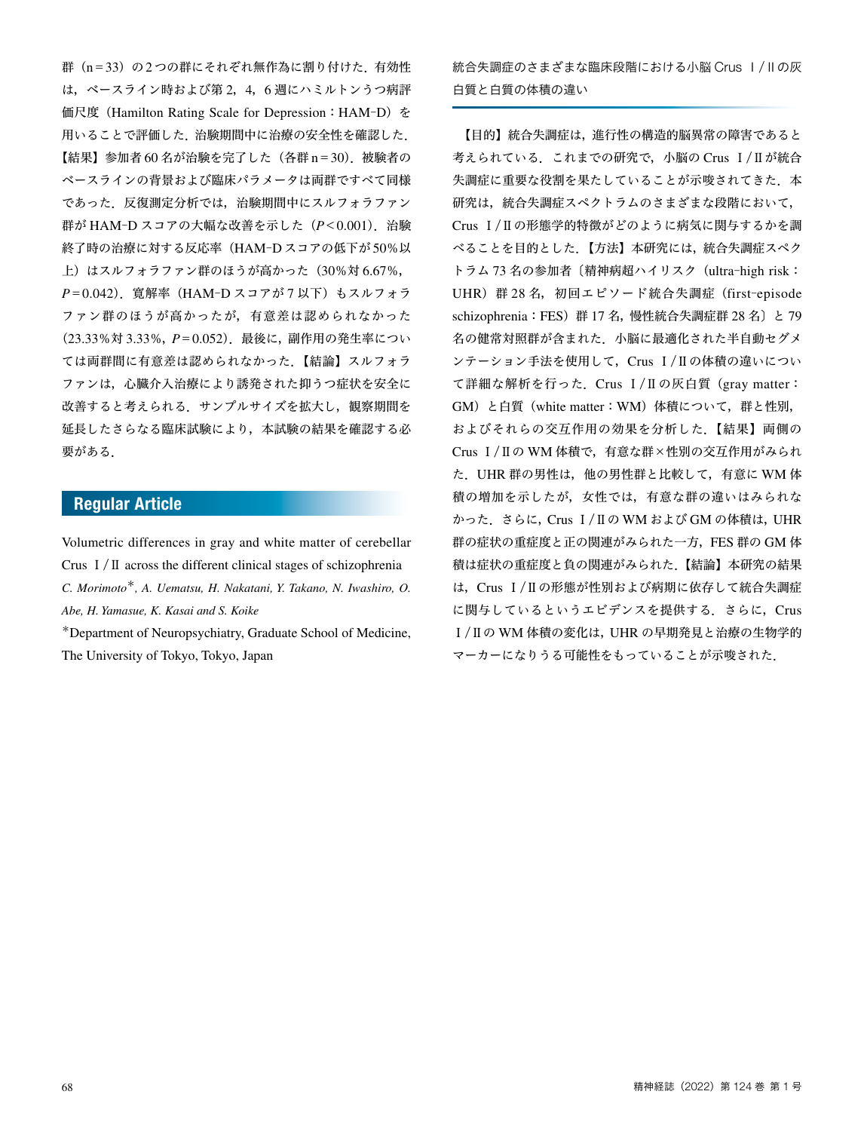群(n=33)の2つの群にそれぞれ無作為に割り付けた. 有効性 は,ベースライン時および第 2,4,6 週にハミルトンうつ病評 価尺度 (Hamilton Rating Scale for Depression: HAM-D) を 用いることで評価した.治験期間中に治療の安全性を確認した. 【結果】参加者 60 名が治験を完了した(各群 n=30).被験者の ベースラインの背景および臨床パラメータは両群ですべて同様 であった.反復測定分析では,治験期間中にスルフォラファン 群が HAM‒D スコアの大幅な改善を示した(*P*<0.001).治験 終了時の治療に対する反応率(HAM‒D スコアの低下が 50%以 上)はスルフォラファン群のほうが高かった(30%対 6.67%, P=0.042). 寛解率 (HAM-D スコアが 7 以下) もスルフォラ ファン群のほうが高かったが,有意差は認められなかった (23.33%対 3.33%,*P*=0.052).最後に,副作用の発生率につい ては両群間に有意差は認められなかった.【結論】スルフォラ ファンは,心臓介入治療により誘発された抑うつ症状を安全に 改善すると考えられる. サンプルサイズを拡大し、観察期間を 延長したさらなる臨床試験により,本試験の結果を確認する必 要がある.

#### Regular Article

Volumetric differences in gray and white matter of cerebellar Crus Ⅰ/Ⅱ across the different clinical stages of schizophrenia *C. Morimoto*\**, A. Uematsu, H. Nakatani, Y. Takano, N. Iwashiro, O. Abe, H. Yamasue, K. Kasai and S. Koike*

\*Department of Neuropsychiatry, Graduate School of Medicine, The University of Tokyo, Tokyo, Japan

統合失調症のさまざまな臨床段階における小脳 Crus Ⅰ/Ⅱの灰 白質と白質の体積の違い

 【目的】統合失調症は,進行性の構造的脳異常の障害であると 考えられている.これまでの研究で,小脳の Crus Ⅰ/Ⅱが統合 失調症に重要な役割を果たしていることが示唆されてきた. 本 研究は、統合失調症スペクトラムのさまざまな段階において, Crus Ⅰ/Ⅱの形態学的特徴がどのように病気に関与するかを調 べることを目的とした.【方法】本研究には,統合失調症スペク トラム 73名の参加者〔精神病超ハイリスク (ultra-high risk: UHR) 群 28 名, 初回エピソード統合失調症 (first-episode schizophrenia:FES)群 17 名,慢性統合失調症群 28 名〕と 79 名の健常対照群が含まれた.小脳に最適化された半自動セグメ ンテーション手法を使用して,Crus Ⅰ/Ⅱの体積の違いについ て詳細な解析を行った.Crus Ⅰ/Ⅱの灰白質(gray matter: GM)と白質(white matter:WM)体積について,群と性別, およびそれらの交互作用の効果を分析した.【結果】両側の Crus Ⅰ/Ⅱの WM 体積で,有意な群×性別の交互作用がみられ た.UHR 群の男性は,他の男性群と比較して,有意に WM 体 積の増加を示したが,女性では,有意な群の違いはみられな かった.さらに,Crus Ⅰ/Ⅱの WM および GM の体積は,UHR 群の症状の重症度と正の関連がみられた一方,FES 群の GM 体 積は症状の重症度と負の関連がみられた.【結論】本研究の結果 は、Crus I/IIの形態が性別および病期に依存して統合失調症 に関与しているというエビデンスを提供する. さらに, Crus Ⅰ/Ⅱの WM 体積の変化は,UHR の早期発見と治療の生物学的 マーカーになりうる可能性をもっていることが示唆された.